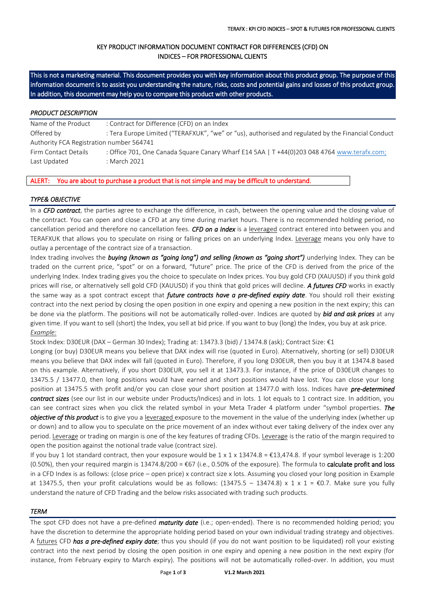# KEY PRODUCT INFORMATION DOCUMENT CONTRACT FOR DIFFERENCES (CFD) ON INDICES – FOR PROFESSIONAL CLIENTS

This is not a marketing material. This document provides you with key information about this product group. The purpose of this information document is to assist you understanding the nature, risks, costs and potential gains and losses of this product group. In addition, this document may help you to compare this product with other products.

#### *PRODUCT DESCRIPTION*

Name of the Product : Contract for Difference (CFD) on an Index Offered by : Tera Europe Limited ("TERAFXUK", "we" or "us), authorised and regulated by the Financial Conduct Authority FCA Registration number 564741 Firm Contact Details : Office 701, One Canada Square Canary Wharf E14 5AA | T +44(0)203 048 4764 [www.terafx.com;](http://www.terafx.com/) Last Updated : March 2021

#### ALERT: You are about to purchase a product that is not simple and may be difficult to understand.

# *TYPE& OBJECTIVE*

In a *CFD contract*, the parties agree to exchange the difference, in cash, between the opening value and the closing value of the contract. You can open and close a CFD at any time during market hours. There is no recommended holding period, no cancellation period and therefore no cancellation fees. *CFD on a Index* is a leveraged contract entered into between you and TERAFXUK that allows you to speculate on rising or falling prices on an underlying Index. Leverage means you only have to outlay a percentage of the contract size of a transaction.

Index trading involves the *buying (known as "going long") and selling (known as "going short")* underlying Index. They can be traded on the current price, "spot" or on a forward, "future" price. The price of the CFD is derived from the price of the underlying Index. Index trading gives you the choice to speculate on Index prices. You buy gold CFD (XAUUSD) if you think gold prices will rise, or alternatively sell gold CFD (XAUUSD) if you think that gold prices will decline. *A futures CFD* works in exactly the same way as a spot contract except that *future contracts have a pre-defined expiry date*. You should roll their existing contract into the next period by closing the open position in one expiry and opening a new position in the next expiry; this can be done via the platform. The positions will not be automatically rolled-over. Indices are quoted by *bid and ask prices* at any given time. If you want to sell (short) the Index, you sell at bid price. If you want to buy (long) the Index, you buy at ask price. *Example:*

Stock Index: D30EUR (DAX – German 30 Index); Trading at: 13473.3 (bid) / 13474.8 (ask); Contract Size: €1

Longing (or buy) D30EUR means you believe that DAX index will rise (quoted in Euro). Alternatively, shorting (or sell) D30EUR means you believe that DAX index will fall (quoted in Euro). Therefore, if you long D30EUR, then you buy it at 13474.8 based on this example. Alternatively, if you short D30EUR, you sell it at 13473.3. For instance, if the price of D30EUR changes to 13475.5 / 13477.0, then long positions would have earned and short positions would have lost. You can close your long position at 13475.5 with profit and/or you can close your short position at 13477.0 with loss. Indices have *pre-determined contract sizes* (see our list in our website under Products/Indices) and in lots. 1 lot equals to 1 contract size. In addition, you can see contract sizes when you click the related symbol in your Meta Trader 4 platform under "symbol properties. *The objective of this product* is to give you a leveraged exposure to the movement in the value of the underlying index (whether up or down) and to allow you to speculate on the price movement of an index without ever taking delivery of the index over any period. Leverage or trading on margin is one of the key features of trading CFDs. Leverage is the ratio of the margin required to open the position against the notional trade value (contract size).

If you buy 1 lot standard contract, then your exposure would be  $1 \times 1 \times 13474.8 = \text{\textsterling}13,474.8$ . If your symbol leverage is 1:200 (0.50%), then your required margin is  $13474.8/200 = \text{\textsterling}67$  (i.e., 0.50% of the exposure). The formula to **calculate profit and loss** in a CFD Index is as follows: (close price – open price) x contract size x lots. Assuming you closed your long position in Example at 13475.5, then your profit calculations would be as follows:  $(13475.5 - 13474.8) \times 1 \times 1 = \text{\textsterling}0.7$ . Make sure you fully understand the nature of CFD Trading and the below risks associated with trading such products.

#### *TERM*

The spot CFD does not have a pre-defined *maturity date* (i.e.; open-ended). There is no recommended holding period; you have the discretion to determine the appropriate holding period based on your own individual trading strategy and objectives. A futures CFD *has a pre-defined expiry date*; thus you should (if you do not want position to be liquidated) roll your existing contract into the next period by closing the open position in one expiry and opening a new position in the next expiry (for instance, from February expiry to March expiry). The positions will not be automatically rolled-over. In addition, you must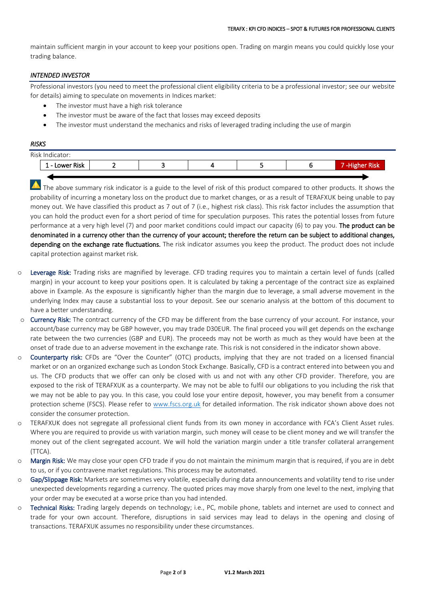maintain sufficient margin in your account to keep your positions open. Trading on margin means you could quickly lose your trading balance.

# *INTENDED INVESTOR*

Professional investors (you need to meet the professional client eligibility criteria to be a professional investor; see our website for details) aiming to speculate on movements in Indices market:

- The investor must have a high risk tolerance
- The investor must be aware of the fact that losses may exceed deposits
- The investor must understand the mechanics and risks of leveraged trading including the use of margin

### *RISKS*

| Risk Indicator: |                        |  |  |  |  |  |     |  |  |  |  |
|-----------------|------------------------|--|--|--|--|--|-----|--|--|--|--|
|                 | Lower Risk<br><b>.</b> |  |  |  |  |  | MBK |  |  |  |  |
|                 |                        |  |  |  |  |  |     |  |  |  |  |

The above summary risk indicator is a guide to the level of risk of this product compared to other products. It shows the probability of incurring a monetary loss on the product due to market changes, or as a result of TERAFXUK being unable to pay money out. We have classified this product as 7 out of 7 (i.e., highest risk class). This risk factor includes the assumption that you can hold the product even for a short period of time for speculation purposes. This rates the potential losses from future performance at a very high level (7) and poor market conditions could impact our capacity (6) to pay you. The product can be denominated in a currency other than the currency of your account; therefore the return can be subject to additional changes, depending on the exchange rate fluctuations. The risk indicator assumes you keep the product. The product does not include capital protection against market risk.

- o Leverage Risk: Trading risks are magnified by leverage. CFD trading requires you to maintain a certain level of funds (called margin) in your account to keep your positions open. It is calculated by taking a percentage of the contract size as explained above in Example. As the exposure is significantly higher than the margin due to leverage, a small adverse movement in the underlying Index may cause a substantial loss to your deposit. See our scenario analysis at the bottom of this document to have a better understanding.
- o Currency Risk: The contract currency of the CFD may be different from the base currency of your account. For instance, your account/base currency may be GBP however, you may trade D30EUR. The final proceed you will get depends on the exchange rate between the two currencies (GBP and EUR). The proceeds may not be worth as much as they would have been at the onset of trade due to an adverse movement in the exchange rate. This risk is not considered in the indicator shown above.
- o Counterparty risk: CFDs are "Over the Counter" (OTC) products, implying that they are not traded on a licensed financial market or on an organized exchange such as London Stock Exchange. Basically, CFD is a contract entered into between you and us. The CFD products that we offer can only be closed with us and not with any other CFD provider. Therefore, you are exposed to the risk of TERAFXUK as a counterparty. We may not be able to fulfil our obligations to you including the risk that we may not be able to pay you. In this case, you could lose your entire deposit, however, you may benefit from a consumer protection scheme (FSCS). Please refer to [www.fscs.org.uk](http://www.fscs.org.uk/) for detailed information. The risk indicator shown above does not consider the consumer protection.
- o TERAFXUK does not segregate all professional client funds from its own money in accordance with FCA's Client Asset rules. Where you are required to provide us with variation margin, such money will cease to be client money and we will transfer the money out of the client segregated account. We will hold the variation margin under a title transfer collateral arrangement (TTCA).
- o Margin Risk: We may close your open CFD trade if you do not maintain the minimum margin that is required, if you are in debt to us, or if you contravene market regulations. This process may be automated.
- o Gap/Slippage Risk: Markets are sometimes very volatile, especially during data announcements and volatility tend to rise under unexpected developments regarding a currency. The quoted prices may move sharply from one level to the next, implying that your order may be executed at a worse price than you had intended.
- o Technical Risks: Trading largely depends on technology; i.e., PC, mobile phone, tablets and internet are used to connect and trade for your own account. Therefore, disruptions in said services may lead to delays in the opening and closing of transactions. TERAFXUK assumes no responsibility under these circumstances.